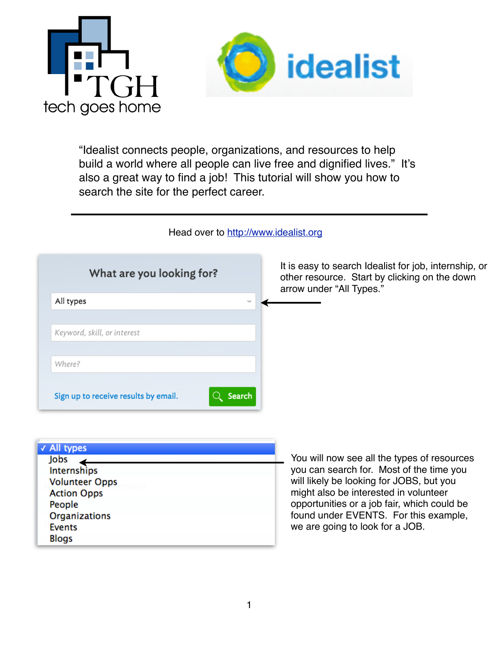



"Idealist connects people, organizations, and resources to help build a world where all people can live free and dignified lives." It's also a great way to find a job! This tutorial will show you how to search the site for the perfect career.

Head over to <http://www.idealist.org>

| What are you looking for?   | It is easy to search Idealist for job, internship, or<br>other resource. Start by clicking on the down<br>arrow under "All Types." |
|-----------------------------|------------------------------------------------------------------------------------------------------------------------------------|
| All types<br>$\checkmark$   |                                                                                                                                    |
| Keyword, skill, or interest |                                                                                                                                    |
| Where?                      |                                                                                                                                    |

| √ All types           |  |
|-----------------------|--|
| Jobs                  |  |
| Internships           |  |
| <b>Volunteer Opps</b> |  |
| <b>Action Opps</b>    |  |
| People                |  |
| <b>Organizations</b>  |  |
| <b>Events</b>         |  |
| <b>Blogs</b>          |  |
|                       |  |

You will now see all the types of resources you can search for. Most of the time you will likely be looking for JOBS, but you might also be interested in volunteer opportunities or a job fair, which could be found under EVENTS. For this example, we are going to look for a JOB.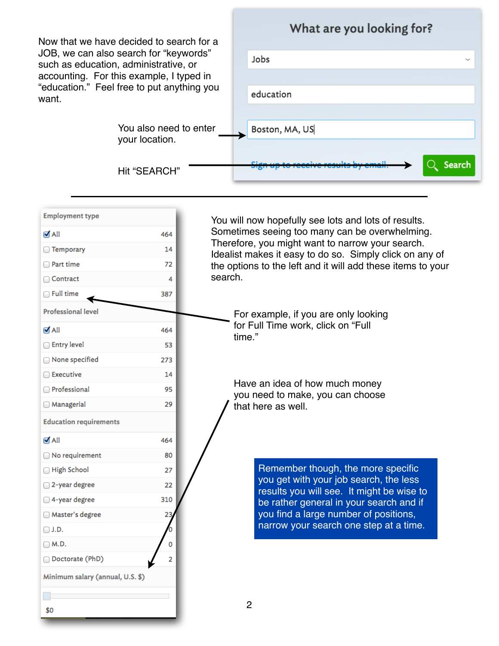| Now that we have decided to search for a<br>JOB, we can also search for "keywords"<br>such as education, administrative, or<br>accounting. For this example, I typed in<br>"education." Feel free to put anything you<br>want. |                                          | What are you looking for?                                                                                                                                  |                |                                                                                     |
|--------------------------------------------------------------------------------------------------------------------------------------------------------------------------------------------------------------------------------|------------------------------------------|------------------------------------------------------------------------------------------------------------------------------------------------------------|----------------|-------------------------------------------------------------------------------------|
|                                                                                                                                                                                                                                |                                          |                                                                                                                                                            |                |                                                                                     |
|                                                                                                                                                                                                                                |                                          |                                                                                                                                                            |                | Jobs                                                                                |
|                                                                                                                                                                                                                                |                                          |                                                                                                                                                            |                |                                                                                     |
|                                                                                                                                                                                                                                |                                          |                                                                                                                                                            | education      |                                                                                     |
|                                                                                                                                                                                                                                |                                          |                                                                                                                                                            |                |                                                                                     |
|                                                                                                                                                                                                                                | You also need to enter<br>your location. |                                                                                                                                                            |                | Boston, MA, US                                                                      |
|                                                                                                                                                                                                                                |                                          |                                                                                                                                                            |                |                                                                                     |
|                                                                                                                                                                                                                                | Hit "SEARCH"                             |                                                                                                                                                            |                | Search                                                                              |
| <b>Employment type</b>                                                                                                                                                                                                         |                                          |                                                                                                                                                            |                |                                                                                     |
|                                                                                                                                                                                                                                |                                          | You will now hopefully see lots and lots of results.<br>Sometimes seeing too many can be overwhelming.<br>Therefore, you might want to narrow your search. |                |                                                                                     |
| $\blacksquare$ All                                                                                                                                                                                                             | 464                                      |                                                                                                                                                            |                |                                                                                     |
| □ Temporary                                                                                                                                                                                                                    | 14                                       |                                                                                                                                                            |                | Idealist makes it easy to do so. Simply click on any of                             |
| □ Part time<br>Contract                                                                                                                                                                                                        | 72                                       | the options to the left and it will add these items to your<br>search.                                                                                     |                |                                                                                     |
| $\Box$ Full time                                                                                                                                                                                                               | 4<br>387                                 |                                                                                                                                                            |                |                                                                                     |
|                                                                                                                                                                                                                                |                                          |                                                                                                                                                            |                |                                                                                     |
| <b>Professional level</b>                                                                                                                                                                                                      |                                          |                                                                                                                                                            |                | For example, if you are only looking                                                |
| $\blacksquare$ All                                                                                                                                                                                                             | 464                                      | for Full Time work, click on "Full<br>time."                                                                                                               |                |                                                                                     |
| Entry level                                                                                                                                                                                                                    | 53                                       |                                                                                                                                                            |                |                                                                                     |
| □ None specified                                                                                                                                                                                                               | 273                                      |                                                                                                                                                            |                |                                                                                     |
| □ Executive                                                                                                                                                                                                                    | 14                                       | Have an idea of how much money                                                                                                                             |                |                                                                                     |
| Professional                                                                                                                                                                                                                   | 95                                       |                                                                                                                                                            |                | you need to make, you can choose                                                    |
| <b>Managerial</b>                                                                                                                                                                                                              | 29                                       | that here as well.                                                                                                                                         |                |                                                                                     |
| <b>Education requirements</b>                                                                                                                                                                                                  |                                          |                                                                                                                                                            |                |                                                                                     |
| $\blacksquare$ All                                                                                                                                                                                                             | 464                                      |                                                                                                                                                            |                |                                                                                     |
| □ No requirement                                                                                                                                                                                                               | 80                                       |                                                                                                                                                            |                |                                                                                     |
| High School                                                                                                                                                                                                                    | 27                                       |                                                                                                                                                            |                | Remember though, the more specific                                                  |
| 2-year degree                                                                                                                                                                                                                  | 22                                       |                                                                                                                                                            |                | you get with your job search, the less<br>results you will see. It might be wise to |
| 4-year degree                                                                                                                                                                                                                  | 310                                      |                                                                                                                                                            |                | be rather general in your search and if                                             |
| □ Master's degree                                                                                                                                                                                                              | 23                                       |                                                                                                                                                            |                | you find a large number of positions,                                               |
| $\Box$ J.D.                                                                                                                                                                                                                    |                                          |                                                                                                                                                            |                | narrow your search one step at a time.                                              |
| $\Box$ M.D.                                                                                                                                                                                                                    | 0                                        |                                                                                                                                                            |                |                                                                                     |
| Doctorate (PhD)                                                                                                                                                                                                                | 2                                        |                                                                                                                                                            |                |                                                                                     |
| Minimum salary (annual, U.S. \$)                                                                                                                                                                                               |                                          |                                                                                                                                                            |                |                                                                                     |
|                                                                                                                                                                                                                                |                                          |                                                                                                                                                            |                |                                                                                     |
| \$0                                                                                                                                                                                                                            |                                          |                                                                                                                                                            | $\overline{c}$ |                                                                                     |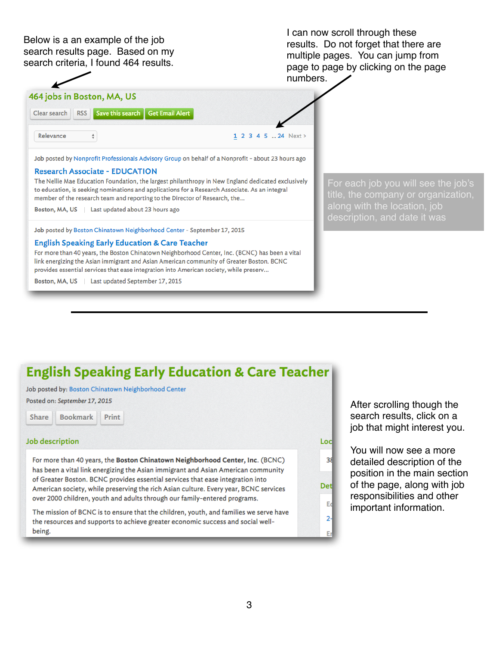Below is a an example of the job search results page. Based on my search criteria, I found 464 results.

I can now scroll through these results. Do not forget that there are multiple pages. You can jump from page to page by clicking on the page numbers.



Job posted by Nonprofit Professionals Advisory Group on behalf of a Nonprofit - about 23 hours ago

## **Research Associate - EDUCATION**

The Nellie Mae Education Foundation, the largest philanthropy in New England dedicated exclusively to education, is seeking nominations and applications for a Research Associate. As an integral member of the research team and reporting to the Director of Research, the...

Boston, MA, US | Last updated about 23 hours ago

Job posted by Boston Chinatown Neighborhood Center - September 17, 2015

### **English Speaking Early Education & Care Teacher**

For more than 40 years, the Boston Chinatown Neighborhood Center, Inc. (BCNC) has been a vital link energizing the Asian immigrant and Asian American community of Greater Boston. BCNC provides essential services that ease integration into American society, while preserv...

Boston, MA, US | Last updated September 17, 2015

For each job you will see the job's title, the company or organization, description, and date it was

# **English Speaking Early Education & Care Teacher**

Job posted by: Boston Chinatown Neighborhood Center

Print

Posted on: September 17, 2015

**Bookmark** 

Share

# **Job description**

For more than 40 years, the Boston Chinatown Neighborhood Center, Inc. (BCNC) has been a vital link energizing the Asian immigrant and Asian American community of Greater Boston. BCNC provides essential services that ease integration into American society, while preserving the rich Asian culture. Every year, BCNC services over 2000 children, youth and adults through our family-entered programs.

The mission of BCNC is to ensure that the children, youth, and families we serve have the resources and supports to achieve greater economic success and social wellbeing.

After scrolling though the search results, click on a job that might interest you.

Loc

 $38$ 

Det

Ec

 $\overline{2}$ 

You will now see a more detailed description of the position in the main section of the page, along with job responsibilities and other important information.